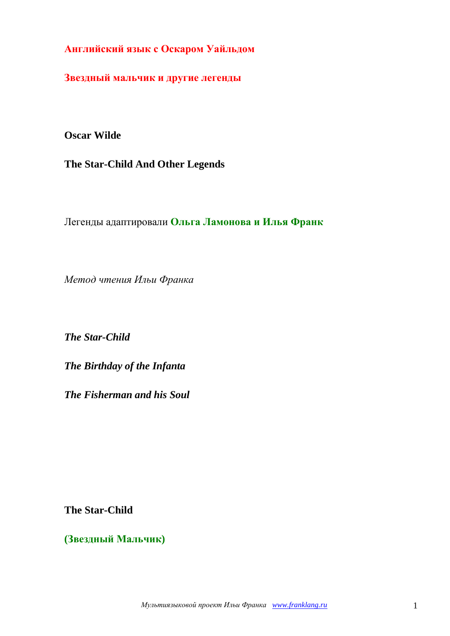**Английский язык с Оскаром Уайльдом**

**Звездный мальчик и другие легенды**

**Oscar Wilde**

**The Star-Child And Other Legends**

Легенды адаптировали **Ольга Ламонова и Илья Франк**

*Метод чтения Ильи Франка*

*The Star-Child*

*The Birthday of the Infanta*

*The Fisherman and his Soul*

**The Star-Child**

**(Звездный Мальчик)**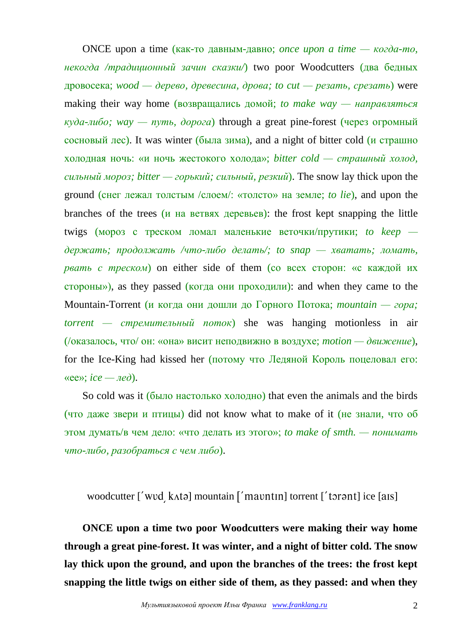ONCE upon a time (как-то давным-давно; *once upon a time — когда-то, некогда /традиционный зачин сказки/*) two poor Woodcutters (два бедных дровосека; *wood — дерево, древесина, дрова; to cut — резать, срезать*) were making their way home (возвращались домой; *to make way — направляться*  $\kappa y \partial a$ -*либо;*  $way - nymb$ , дорога) through a great pine-forest (через огромный сосновый лес). It was winter (была зима), and a night of bitter cold (и страшно холодная ночь: «и ночь жестокого холода»; *bitter cold — страшный холод, сильный мороз; bitter — горький; сильный, резкий*). The snow lay thick upon the ground (снег лежал толстым /слоем/: «толсто» на земле; *to lie*), and upon the branches of the trees (и на ветвях деревьев): the frost kept snapping the little twigs (мороз с треском ломал маленькие веточки/прутики; *to keep держать; продолжать /что-либо делать/; to snap — хватать; ломать, рвать с треском*) on either side of them (со всех сторон: «с каждой их стороны»), as they passed (когда они проходили): and when they came to the Mountain-Torrent (и когда они дошли до Горного Потока; *mountain — гора; torrent — стремительный поток*) she was hanging motionless in air (/оказалось, что/ он: «она» висит неподвижно в воздухе; *motion — движение*), for the Ice-King had kissed her (потому что Ледяной Король поцеловал его: «ее»; *ice — лед*).

So cold was it (было настолько холодно) that even the animals and the birds (что даже звери и птицы) did not know what to make of it (не знали, что об этом думать/в чем дело: «что делать из этого»; *to make of smth. — понимать что-либо, разобраться с чем либо*).

woodcutter ['wvd k^ta] mountain ['mavntin] torrent ['torant] ice [ais]

**ONCE upon a time two poor Woodcutters were making their way home through a great pine-forest. It was winter, and a night of bitter cold. The snow lay thick upon the ground, and upon the branches of the trees: the frost kept snapping the little twigs on either side of them, as they passed: and when they**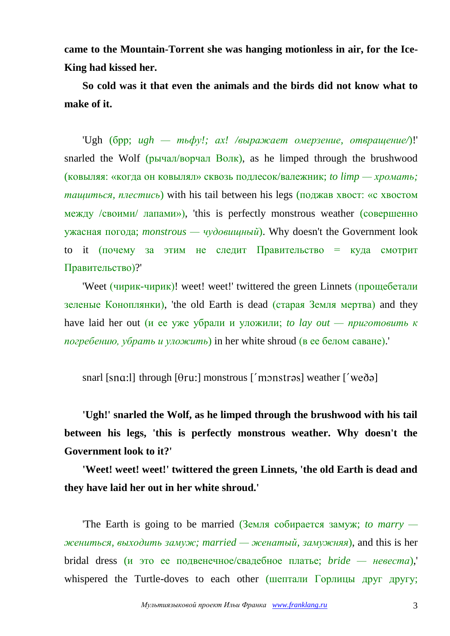**came to the Mountain-Torrent she was hanging motionless in air, for the Ice-King had kissed her.**

**So cold was it that even the animals and the birds did not know what to make of it.**

'Ugh (брр; *ugh — тьфу!; ах! /выражает омерзение, отвращение/*)!' snarled the Wolf (рычал/ворчал Волк), as he limped through the brushwood (ковыляя: «когда он ковылял» сквозь подлесок/валежник; *to limp — хромать; тащиться, плестись*) with his tail between his legs (поджав хвост: «с хвостом между /своими/ лапами»), 'this is perfectly monstrous weather (совершенно ужасная погода; *monstrous — чудовищный*). Why doesn't the Government look to it (почему за этим не следит Правительство = куда смотрит Правительство)?'

'Weet (чирик-чирик)! weet! weet!' twittered the green Linnets (прощебетали зеленые Коноплянки), 'the old Earth is dead (старая Земля мертва) and they have laid her out (*и* ее уже убрали и уложили; *to lay out — приготовить*  $\kappa$ *погребению, убрать и уложить*) in her white shroud (в ее белом саване).'

snarl [sna:] through [ $\theta$ ru:] monstrous ['monstras] weather ['we $\delta \theta$ ]

**'Ugh!' snarled the Wolf, as he limped through the brushwood with his tail between his legs, 'this is perfectly monstrous weather. Why doesn't the Government look to it?'** 

**'Weet! weet! weet!' twittered the green Linnets, 'the old Earth is dead and they have laid her out in her white shroud.'**

'The Earth is going to be married (Земля собирается замуж; *to marry жениться, выходить замуж; married — женатый, замужняя*), and this is her bridal dress (и это ее подвенечное/свадебное платье; *bride — невеста*),' whispered the Turtle-doves to each other (шептали Горлицы друг другу;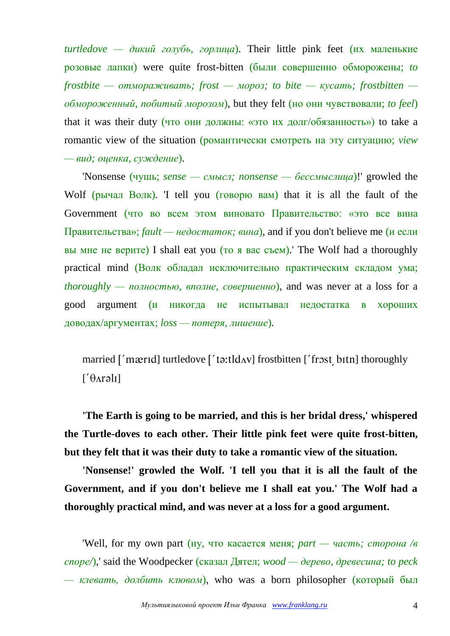*turtledove — дикий голубь, горлица*). Their little pink feet (их маленькие розовые лапки) were quite frost-bitten (были совершенно обморожены; *to frostbite — отмораживать; frost — мороз; to bite — кусать; frostbitten обмороженный, побитый морозом*), but they felt (но они чувствовали; *to feel*) that it was their duty (что они должны: «это их долг/обязанность») to take a romantic view of the situation (романтически смотреть на эту ситуацию; *view — вид; оценка, суждение*).

'Nonsense (чушь; *sense — смысл; nonsense — бессмыслица*)!' growled the Wolf (рычал Волк). 'I tell you (говорю вам) that it is all the fault of the Government (что во всем этом виновато Правительство: «это все вина Правительства»; *fault — недостаток; вина*), and if you don't believe me (и если вы мне не верите) I shall eat you (то я вас съем).' The Wolf had a thoroughly practical mind (Волк обладал исключительно практическим складом ума; *thoroughly — полностью, вполне, совершенно*), and was never at a loss for a good argument (и никогда не испытывал недостатка в хороших доводах/аргументах; *loss — потеря, лишение*).

married  $\lceil \cdot \rceil$  turtledove  $\lceil \cdot \cdot \rceil$  to  $\lceil \cdot \rceil$  thoroughly thoroughly  $[$ ' $\theta$ Arəlı]

**'The Earth is going to be married, and this is her bridal dress,' whispered the Turtle-doves to each other. Their little pink feet were quite frost-bitten, but they felt that it was their duty to take a romantic view of the situation.**

**'Nonsense!' growled the Wolf. 'I tell you that it is all the fault of the Government, and if you don't believe me I shall eat you.' The Wolf had a thoroughly practical mind, and was never at a loss for a good argument.**

'Well, for my own part (ну, что касается меня; *part — часть; сторона /в споре/*),' said the Woodpecker (сказал Дятел; *wood — дерево, древесина; to peck*   $-$  *клевать, долбить клювом*), who was a born philosopher (который был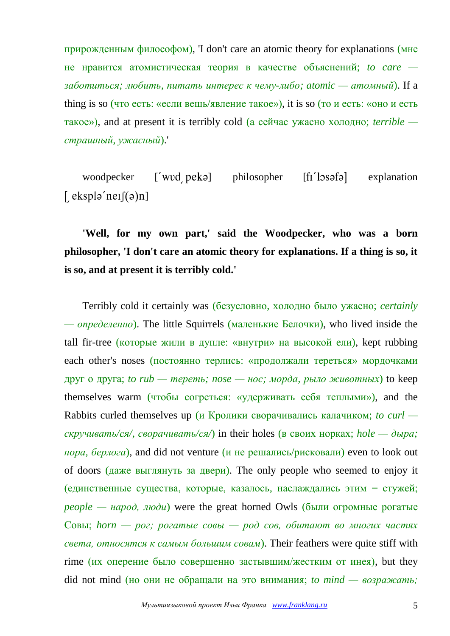прирожденным философом), 'I don't care an atomic theory for explanations (мне не нравится атомистическая теория в качестве объяснений; *to care заботиться; любить, питать интерес к чему-либо; atomic — атомный*). If a thing is so (что есть: «если вещь/явление такое»), it is so (то и есть: «оно и есть такое»), and at present it is terribly cold (а сейчас ужасно холодно; *terrible страшный, ужасный*).'

woodpecker ['wvd peka] philosopher [fi'losafa] explanation  $[eksplə'nelf(ə)n]$ 

**'Well, for my own part,' said the Woodpecker, who was a born philosopher, 'I don't care an atomic theory for explanations. If a thing is so, it is so, and at present it is terribly cold.'**

Terribly cold it certainly was (безусловно, холодно было ужасно; *certainly — определенно*). The little Squirrels (маленькие Белочки), who lived inside the tall fir-tree (которые жили в дупле: «внутри» на высокой ели), kept rubbing each other's noses (постоянно терлись: «продолжали тереться» мордочками друг о друга; *to rub — тереть; nose — нос; морда, рыло животных*) to keep themselves warm (чтобы согреться: «удерживать себя теплыми»), and the Rabbits curled themselves up (и Кролики сворачивались калачиком; *to curl скручивать/ся/, сворачивать/ся/*) in their holes (в своих норках; *hole — дыра; нора, берлога*), and did not venture (и не решались/рисковали) even to look out of doors (даже выглянуть за двери). The only people who seemed to enjoy it (единственные существа, которые, казалось, наслаждались этим = стужей;  $people - $14 \cdot 200$ ,  $100 \cdot 200$  were the great horned Owls (были огромные рогатые$ Совы; *horn — рог; рогатые совы — род сов, обитают во многих частях света, относятся к самым большим совам*). Their feathers were quite stiff with rime (их оперение было совершенно застывшим/жестким от инея), but they did not mind (но они не обращали на это внимания; *to mind — возражать;*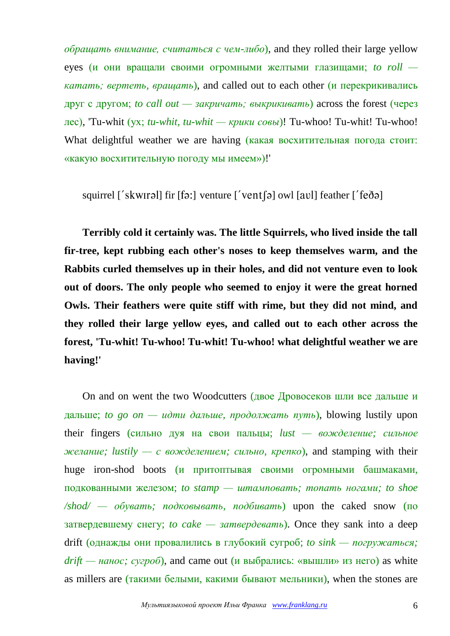*обращать внимание, считаться с чем-либо*), and they rolled their large yellow eyes (и они вращали своими огромными желтыми глазищами; *to roll катать; вертеть, вращать*), and called out to each other (и перекрикивались друг с другом; *to call out — закричать; выкрикивать*) across the forest (через лес), 'Tu-whit (ух; *tu-whit, tu-whit — крики совы*)! Tu-whoo! Tu-whit! Tu-whoo! What delightful weather we are having (какая восхитительная погода стоит: «какую восхитительную погоду мы имеем»)!'

squirrel ['skwIrəl] fir [  $f$ ə: ] venture ['vent [  $\partial$  ] owl [ av ] feather [' $f$ e $\partial$ ə]

**Terribly cold it certainly was. The little Squirrels, who lived inside the tall fir-tree, kept rubbing each other's noses to keep themselves warm, and the Rabbits curled themselves up in their holes, and did not venture even to look out of doors. The only people who seemed to enjoy it were the great horned Owls. Their feathers were quite stiff with rime, but they did not mind, and they rolled their large yellow eyes, and called out to each other across the forest, 'Tu-whit! Tu-whoo! Tu-whit! Tu-whoo! what delightful weather we are having!'**

On and on went the two Woodcutters (двое Дровосеков шли все дальше и дальше; *to go on — идти дальше, продолжать путь*), blowing lustily upon their fingers (сильно дуя на свои пальцы; *lust — вожделение; сильное*  $m$ *желание; lustily — с вожделением; сильно, крепко*), and stamping with their huge iron-shod boots (и притоптывая своими огромными башмаками, подкованными железом; *to stamp — штамповать; топать ногами; to shoe*   $\lambda$ shod $\lambda$  *— обувать; подковывать, подбивать*) upon the caked snow (по затвердевшему снегу; *to cake — затвердевать*). Once they sank into a deep drift (однажды они провалились в глубокий сугроб; *to sink — погружаться;*  $drift$  — *нанос; сугроб*), and came out (и выбрались: «вышли» из него) as white as millers are (такими белыми, какими бывают мельники), when the stones are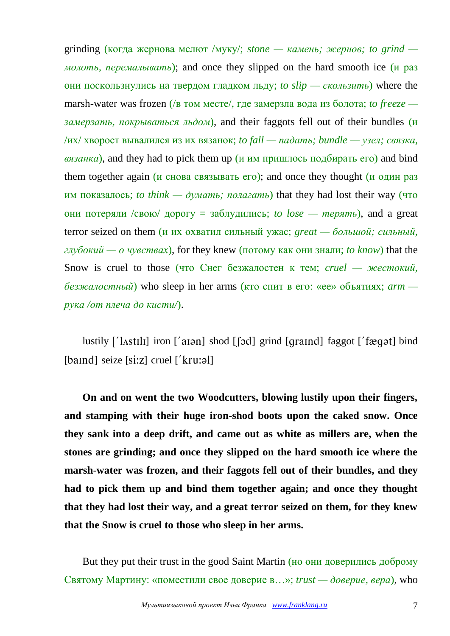grinding (когда жернова мелют /муку/; *stone — камень; жернов; to grind молоть, перемалывать*); and once they slipped on the hard smooth ice (и раз они поскользнулись на твердом гладком льду; *to slip — скользить*) where the marsh-water was frozen (/в том месте/, где замерзла вода из болота; *to freeze замерзать, покрываться льдом*), and their faggots fell out of their bundles (и /их/ хворост вывалился из их вязанок; *to fall — падать; bundle — узел; связка,*   $\epsilon$ язанка), and they had to pick them up (и им пришлось подбирать его) and bind them together again (и снова связывать его); and once they thought (и один раз им показалось; *to think — думать; полагать*) that they had lost their way (что они потеряли /свою/ дорогу = заблудились; *to lose — терять*), and a great terror seized on them (и их охватил сильный ужас; *great — большой; сильный, глубокий — о чувствах*), for they knew (потому как они знали; *to know*) that the Snow is cruel to those (что Снег безжалостен к тем; *cruel — жестокий, безжалостный*) who sleep in her arms (кто спит в его: «ее» объятиях; *arm рука /от плеча до кисти/*).

lustily  $\lceil \cdot \rceil$  lastles  $\lceil \cdot \rceil$  iron  $\lceil \cdot \rceil$  and  $\lceil \cdot \rceil$  and  $\lceil \cdot \rceil$  and  $\lceil \cdot \rceil$  faggot  $\lceil \cdot \rceil$  faggot  $\lceil \cdot \rceil$  bind  $[$ baind] seize  $[si:z]$  cruel  $[$   $kru:ol]$ 

**On and on went the two Woodcutters, blowing lustily upon their fingers, and stamping with their huge iron-shod boots upon the caked snow. Once they sank into a deep drift, and came out as white as millers are, when the stones are grinding; and once they slipped on the hard smooth ice where the marsh-water was frozen, and their faggots fell out of their bundles, and they had to pick them up and bind them together again; and once they thought that they had lost their way, and a great terror seized on them, for they knew that the Snow is cruel to those who sleep in her arms.**

But they put their trust in the good Saint Martin (но они доверились доброму Святому Мартину: «поместили свое доверие в…»; *trust — доверие, вера*), who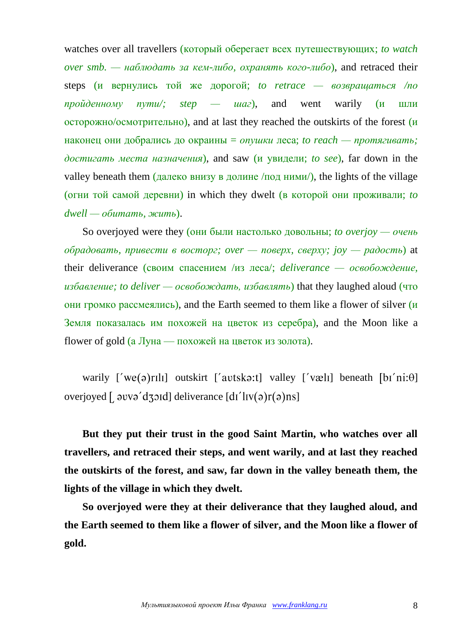watches over all travellers (который оберегает всех путешествующих; *to watch over smb. — наблюдать за кем-либо, охранять кого-либо*), and retraced their steps (и вернулись той же дорогой; *to retrace — возвращаться /по пройденному пути/; step — шаг*), and went warily (и шли осторожно/осмотрительно), and at last they reached the outskirts of the forest (и наконец они добрались до окраины = *опушки* леса; *to reach — протягивать; достигать места назначения*), and saw (и увидели; *to see*), far down in the valley beneath them (далеко внизу в долине /под ними/), the lights of the village (огни той самой деревни) in which they dwelt (в которой они проживали; *to dwell — обитать, жить*).

So overjoyed were they (они были настолько довольны; *to overjoy — очень*  $o6p$ адовать, привести в восторг; over — поверх, сверху; joy — радость) at their deliverance (своим спасением /из леса/; *deliverance — освобождение, избавление; to deliver — освобождать, избавлять*) that they laughed aloud (что они громко рассмеялись), and the Earth seemed to them like a flower of silver (и Земля показалась им похожей на цветок из серебра), and the Moon like a flower of gold (а Луна — похожей на цветок из золота).

warily [ ] outskirt [ ] valley [ ] beneath ] overjoyed [ $ov^2$ d $z$ ord] deliverance  $[$ d $i^{\prime}$ l $iv$  $($ ə $)$ r $($ ə $)$ ns]

**But they put their trust in the good Saint Martin, who watches over all travellers, and retraced their steps, and went warily, and at last they reached the outskirts of the forest, and saw, far down in the valley beneath them, the lights of the village in which they dwelt.**

**So overjoyed were they at their deliverance that they laughed aloud, and the Earth seemed to them like a flower of silver, and the Moon like a flower of gold.**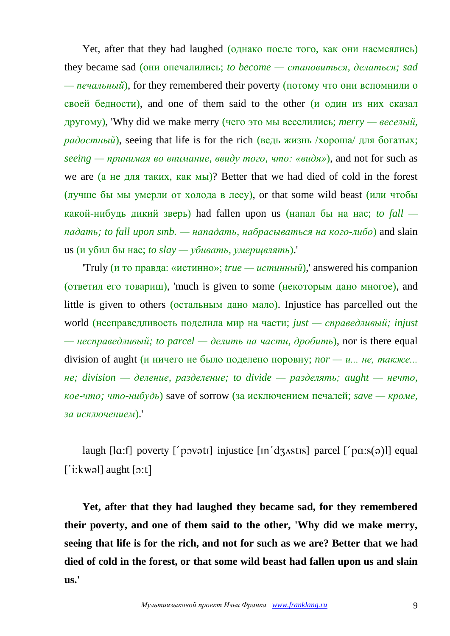Yet, after that they had laughed (однако после того, как они насмеялись) they became sad (они опечалились; *to become — становиться, делаться; sad — печальный*), for they remembered their poverty (потому что они вспомнили о своей бедности), and one of them said to the other (и один из них сказал другому), 'Why did we make merry (чего это мы веселились; *merry — веселый, радостный*), seeing that life is for the rich (ведь жизнь /хороша/ для богатых; *seeing — принимая во внимание, ввиду того, что: «видя»*), and not for such as we are (а не для таких, как мы)? Better that we had died of cold in the forest (лучше бы мы умерли от холода в лесу), or that some wild beast (или чтобы какой-нибудь дикий зверь) had fallen upon us (напал бы на нас; *to fall падать; to fall upon smb. — нападать, набрасываться на кого-либо*) and slain us (и убил бы нас; *to slay — убивать, умерщвлять*).'

'Truly (и то правда: «истинно»; *true — истинный*),' answered his companion (ответил его товарищ), 'much is given to some (некоторым дано многое), and little is given to others (остальным дано мало). Injustice has parcelled out the world (несправедливость поделила мир на части; *just — справедливый; injust — несправедливый; to parcel — делить на части, дробить*), nor is there equal division of aught (и ничего не было поделено поровну; *nor — и... не, также... не; division — деление, разделение; to divide — разделять; aught — нечто,*   $\kappa$ *ое-что; что-нибудь*) save of sorrow (за исключением печалей; *save — кроме*, *за исключением*).'

laugh [ $|a: f|$ ] poverty ['povəti] injustice  $| \text{in}' d \text{z}$  as a parcel ['pa:s( $a$ )] equal  $[i:kwə]$  aught  $[s:t]$ 

**Yet, after that they had laughed they became sad, for they remembered their poverty, and one of them said to the other, 'Why did we make merry, seeing that life is for the rich, and not for such as we are? Better that we had died of cold in the forest, or that some wild beast had fallen upon us and slain us.'**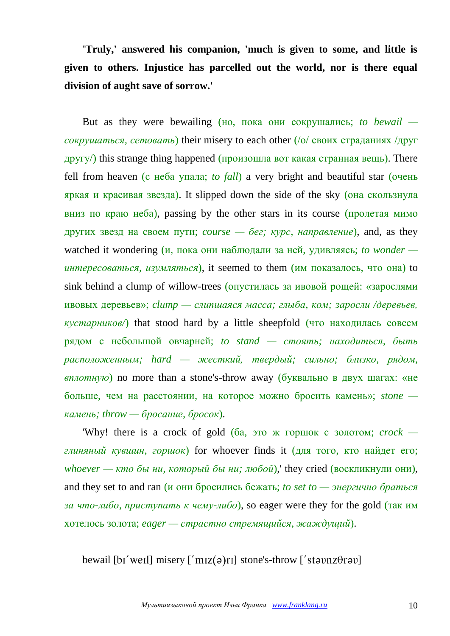**'Truly,' answered his companion, 'much is given to some, and little is given to others. Injustice has parcelled out the world, nor is there equal division of aught save of sorrow.'**

But as they were bewailing (но, пока они сокрушались; *to bewail сокрушаться, сетовать*) their misery to each other (/о/ своих страданиях /друг  $\mu$ ругу/) this strange thing happened (произошла вот какая странная вещь). There fell from heaven (с неба упала; *to fall*) a very bright and beautiful star (очень яркая и красивая звезда). It slipped down the side of the sky (она скользнула вниз по краю неба), passing by the other stars in its course (пролетая мимо других звезд на своем пути; *course* — *бег; курс, направление*), and, as they watched it wondering (и, пока они наблюдали за ней, удивляясь; *to wonder интересоваться, изумляться*), it seemed to them (им показалось, что она) to sink behind a clump of willow-trees (опустилась за ивовой рощей: «зарослями ивовых деревьев»; *clump — слипшаяся масса; глыба, ком; заросли /деревьев, кустарников/*) that stood hard by a little sheepfold (что находилась совсем рядом с небольшой овчарней; *to stand — стоять; находиться, быть расположенным; hard — жесткий, твердый; сильно; близко, рядом, вплотную*) no more than a stone's-throw away (буквально в двух шагах: «не больше, чем на расстоянии, на которое можно бросить камень»; *stone камень; throw — бросание, бросок*).

'Why! there is a crock of gold (ба, это ж горшок с золотом; *crock глиняный кувшин, горшок*) for whoever finds it (для того, кто найдет его; *whoever — кто бы ни, который бы ни; любой*),' they cried (воскликнули они), and they set to and ran (и они бросились бежать; *to set to — энергично браться за что-либо, приступать к чему-либо*), so eager were they for the gold (так им хотелось золота; *eager — страстно стремящийся, жаждущий*).

bewail [bɪ'weɪl] misery ['mɪz(ə)rɪ] stone's-throw ['stəvnz $\theta$ rəv]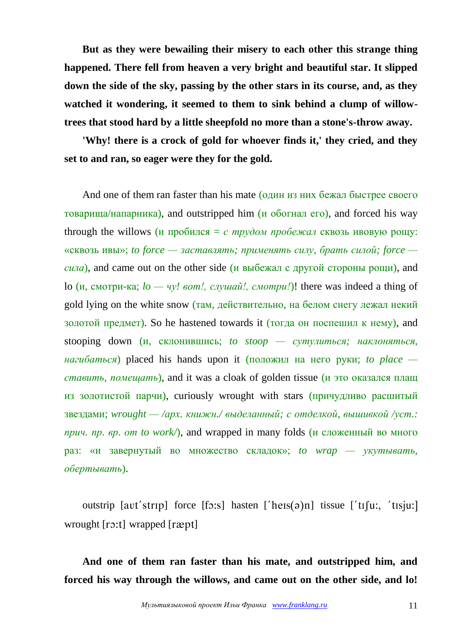**But as they were bewailing their misery to each other this strange thing happened. There fell from heaven a very bright and beautiful star. It slipped down the side of the sky, passing by the other stars in its course, and, as they watched it wondering, it seemed to them to sink behind a clump of willowtrees that stood hard by a little sheepfold no more than a stone's-throw away.**

**'Why! there is a crock of gold for whoever finds it,' they cried, and they set to and ran, so eager were they for the gold.**

And one of them ran faster than his mate (один из них бежал быстрее своего товарища/напарника), and outstripped him (и обогнал его), and forced his way through the willows (и пробился = *с трудом пробежал* сквозь ивовую рощу: «сквозь ивы»; *to force — заставлять; применять силу, брать силой; force*   $cu\bar{a}$ , and came out on the other side (*и* выбежал с другой стороны рощи), and lo (и, смотри-ка; *lo — чу! вот!, слушай!, смотри!*)! there was indeed a thing of gold lying on the white snow (там, действительно, на белом снегу лежал некий золотой предмет). So he hastened towards it (тогда он поспешил к нему), and stooping down (и, склонившись; *to stoop — сутулиться; наклоняться, нагибаться*) placed his hands upon it (положил на него руки; *to place ставить, помещать*), and it was a cloak of golden tissue (и это оказался плащ из золотистой парчи), curiously wrought with stars (причудливо расшитый звездами; *wrought — /арх. книжн./ выделанный; с отделкой, вышивкой /уст.: прич. пр. вр. от to work/*), and wrapped in many folds (и сложенный во много раз: «и завернутый во множество складок»; *to wrap — укутывать, обертывать*).

outstrip [avt'strip] force [fo:s] hasten ['heis( $\vartheta$ )n] tissue ['tifu:, 'tisju:] wrought  $[r \cdot z: t]$  wrapped  $[r \cdot z: t]$ 

**And one of them ran faster than his mate, and outstripped him, and forced his way through the willows, and came out on the other side, and lo!**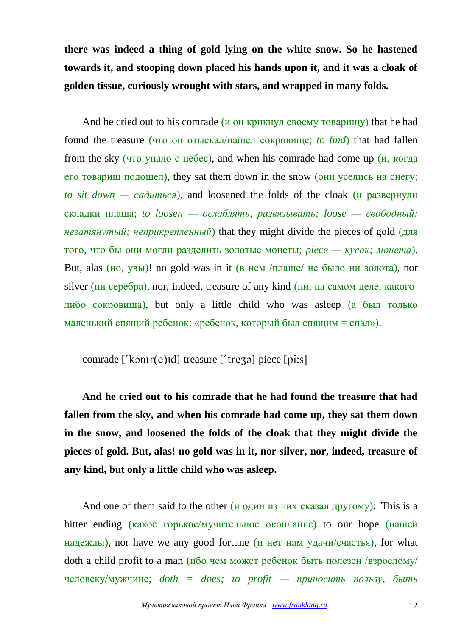**there was indeed a thing of gold lying on the white snow. So he hastened towards it, and stooping down placed his hands upon it, and it was a cloak of golden tissue, curiously wrought with stars, and wrapped in many folds.**

And he cried out to his comrade (*и* он крикнул своему товарищу) that he had found the treasure (что он отыскал/нашел сокровище; *to find*) that had fallen from the sky (что упало с небес), and when his comrade had come up  $(u, \kappa)$ его товарищ подошел), they sat them down in the snow (они уселись на снегу; *to sit down — садиться*), and loosened the folds of the cloak (и развернули складки плаща; *to loosen — ослаблять, развязывать; loose — свободный; незатянутый; неприкрепленный*) that they might divide the pieces of gold (для того, что бы они могли разделить золотые монеты; *piece — кусок; монета*). But, alas (но, увы)! no gold was in it (в нем /плаще/ не было ни золота), nor silver (ни серебра), nor, indeed, treasure of any kind (ни, на самом деле, какоголибо сокровища), but only a little child who was asleep (а был только маленький спящий ребенок: «ребенок, который был спящим = спал»).

comrade  $\lceil \text{'komr}(e) \rceil$  treasure  $\lceil \text{'trez} \rceil$  piece  $\lceil \text{pis} \rceil$ 

**And he cried out to his comrade that he had found the treasure that had fallen from the sky, and when his comrade had come up, they sat them down in the snow, and loosened the folds of the cloak that they might divide the pieces of gold. But, alas! no gold was in it, nor silver, nor, indeed, treasure of any kind, but only a little child who was asleep.**

And one of them said to the other  $(u$  один из них сказал другому): This is a bitter ending (какое горькое/мучительное окончание) to our hope (нашей надежды), nor have we any good fortune (и нет нам удачи/счастья), for what doth a child profit to a man (ибо чем может ребенок быть полезен /взрослому/ человеку/мужчине; *doth = does; to profit — приносить пользу, быть*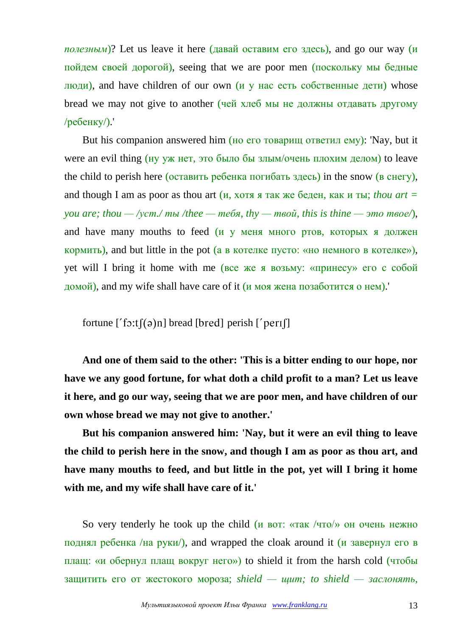$n$ *олезным*)? Let us leave it here (давай оставим его здесь), and go our way (и пойдем своей дорогой), seeing that we are poor men (поскольку мы бедные люди), and have children of our own  $(\mu \nu)$  нас есть собственные дети) whose bread we may not give to another (чей хлеб мы не должны отдавать другому /ребенку/).'

But his companion answered him (но его товарищ ответил ему): 'Nay, but it were an evil thing (ну уж нет, это было бы злым/очень плохим делом) to leave the child to perish here (оставить ребенка погибать здесь) in the snow (в снегу), and though I am as poor as thou art  $(u, x$  *x*ors я так же беден, как и ты; *thou art* = *you are; thou — /уст./ ты /thee — тебя, thy — твой, this is thine — это твое/*), and have many mouths to feed  $(N \vee N)$  меня много ртов, которых я должен кормить), and but little in the pot (а в котелке пусто: «но немного в котелке»), yet will I bring it home with me (все же я возьму: «принесу» его с собой домой), and my wife shall have care of it (и моя жена позаботится о нем).'

fortune  $[$  fo:t $[(a)$ n] bread [bred] perish  $[$  perif]

**And one of them said to the other: 'This is a bitter ending to our hope, nor have we any good fortune, for what doth a child profit to a man? Let us leave it here, and go our way, seeing that we are poor men, and have children of our own whose bread we may not give to another.'**

**But his companion answered him: 'Nay, but it were an evil thing to leave the child to perish here in the snow, and though I am as poor as thou art, and have many mouths to feed, and but little in the pot, yet will I bring it home with me, and my wife shall have care of it.'**

So very tenderly he took up the child (и вот: «так /что/» он очень нежно поднял ребенка /на руки/), and wrapped the cloak around it (и завернул его в плащ: «и обернул плащ вокруг него») to shield it from the harsh cold (чтобы защитить его от жестокого мороза; *shield — щит; to shield — заслонять,*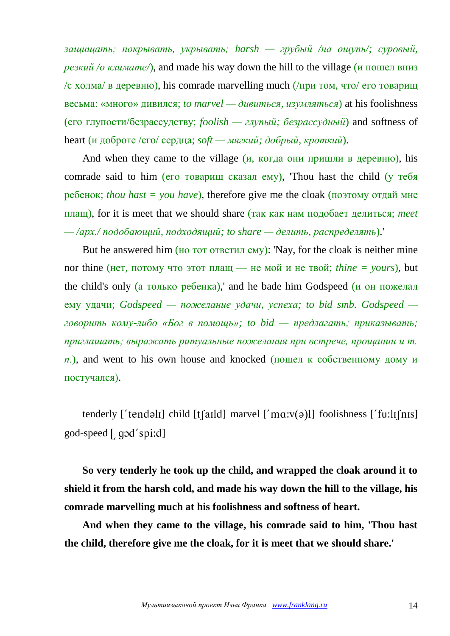*защищать; покрывать, укрывать; harsh — грубый /на ощупь/; суровый, резкий /о климате/*), and made his way down the hill to the village (и пошел вниз /с холма/ в деревню), his comrade marvelling much (/при том, что/ его товарищ весьма: «много» дивился; *to marvel — дивиться, изумляться*) at his foolishness (его глупости/безрассудству; *foolish — глупый; безрассудный*) and softness of heart (и доброте /его/ сердца; *soft — мягкий; добрый, кроткий*).

And when they came to the village  $(u, \kappa)$  когда они пришли в деревню), his comrade said to him (его товарищ сказал ему), Thou hast the child (у тебя ребенок; *thou hast = you have*), therefore give me the cloak (поэтому отдай мне плащ), for it is meet that we should share (так как нам подобает делиться; *meet — /арх./ подобающий, подходящий; to share — делить, распределять*).'

But he answered him (но тот ответил ему): 'Nay, for the cloak is neither mine nor thine (нет, потому что этот плащ — не мой и не твой; *thine = yours*), but the child's only (а только ребенка),' and he bade him Godspeed (и он пожелал ему удачи; *Godspeed — пожелание удачи, успеха; to bid smb. Godspeed говорить кому-либо «Бог в помощь»; to bid — предлагать; приказывать; приглашать; выражать ритуальные пожелания при встрече, прощании и т.*   $n$ ), and went to his own house and knocked (пошел к собственному дому и постучался).

tenderly ['tendəli] child [t[aild] marvel ['ma: $v(a)$ ]] foolishness ['fu:li[nis]  $\gcd$ -speed  $\lceil$  qod'spi:d]

**So very tenderly he took up the child, and wrapped the cloak around it to shield it from the harsh cold, and made his way down the hill to the village, his comrade marvelling much at his foolishness and softness of heart.**

**And when they came to the village, his comrade said to him, 'Thou hast the child, therefore give me the cloak, for it is meet that we should share.'**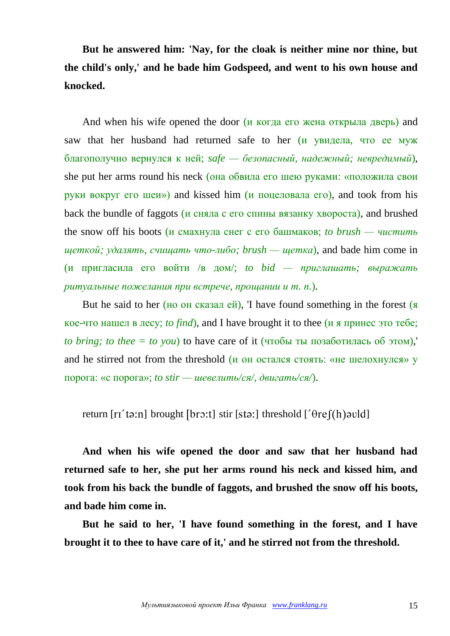**But he answered him: 'Nay, for the cloak is neither mine nor thine, but the child's only,' and he bade him Godspeed, and went to his own house and knocked.**

And when his wife opened the door (и когда его жена открыла дверь) and saw that her husband had returned safe to her (и увидела, что ее муж благополучно вернулся к ней; *safe — безопасный, надежный; невредимый*), she put her arms round his neck (она обвила его шею руками: «положила свои руки вокруг его шеи») and kissed him (и поцеловала его), and took from his back the bundle of faggots (и сняла с его спины вязанку хвороста), and brushed the snow off his boots (и смахнула снег с его башмаков; *to brush — чистить щеткой; удалять, счищать что-либо; brush — щетка*), and bade him come in (и пригласила его войти /в дом/; *to bid — приглашать; выражать ритуальные пожелания при встрече, прощании и т. п.*).

But he said to her (но он сказал ей), 'I have found something in the forest (я кое-что нашел в лесу; *to find*), and I have brought it to thee (и я принес это тебе; *to bring; to thee = to you*) to have care of it (чтобы ты позаботилась об этом),' and he stirred not from the threshold (и он остался стоять: «не шелохнулся» у порога: «с порога»; *to stir — шевелить/ся/, двигать/ся/*).

return  $[r'_1$  ta:n brought  $[br_3:1]$  stir  $[st_3:1]$  threshold  $[1]$   $[0]$   $[1]$   $[0]$ 

**And when his wife opened the door and saw that her husband had returned safe to her, she put her arms round his neck and kissed him, and took from his back the bundle of faggots, and brushed the snow off his boots, and bade him come in.**

**But he said to her, 'I have found something in the forest, and I have brought it to thee to have care of it,' and he stirred not from the threshold.**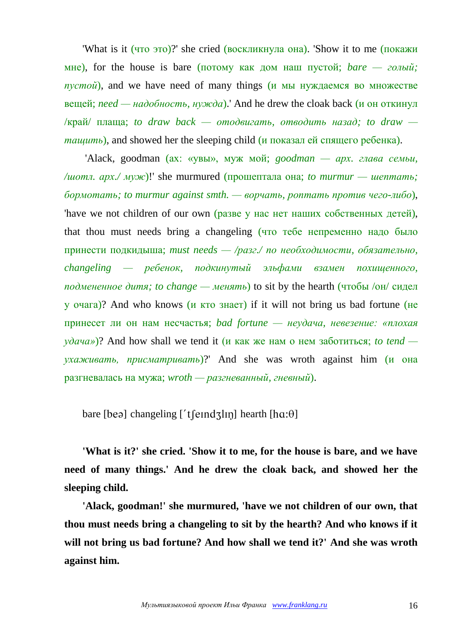'What is it (что это)?' she cried (воскликнула она). 'Show it to me (покажи мне), for the house is bare (потому как дом наш пустой; *bare — голый; пустой*), and we have need of many things (и мы нуждаемся во множестве вещей; *need — надобность, нужда*).' And he drew the cloak back (и он откинул /край/ плаща; *to draw back — отодвигать, отводить назад; to draw тащить*), and showed her the sleeping child (и показал ей спящего ребенка).

'Alack, goodman (ах: «увы», муж мой; *goodman — арх. глава семьи, /шотл. арх./ муж*)!' she murmured (прошептала она; *to murmur — шептать; бормотать; to murmur against smth. — ворчать, роптать против чего-либо*), 'have we not children of our own (разве у нас нет наших собственных детей), that thou must needs bring a changeling (что тебе непременно надо было принести подкидыша; *must needs — /разг./ по необходимости, обязательно, changeling — ребенок, подкинутый эльфами взамен похищенного, подмененное дитя; to change — менять*) to sit by the hearth (чтобы /он/ сидел у очага)? And who knows (и кто знает) if it will not bring us bad fortune (не принесет ли он нам несчастья; *bad fortune — неудача, невезение: «плохая удача»*)? And how shall we tend it (и как же нам о нем заботиться; *to tend ухаживать, присматривать*)?' And she was wroth against him (и она разгневалась на мужа; *wroth — разгневанный, гневный*).

bare [beə] changeling ['t [elnd3lln] hearth [h $a:\theta$ ]

**'What is it?' she cried. 'Show it to me, for the house is bare, and we have need of many things.' And he drew the cloak back, and showed her the sleeping child.**

**'Alack, goodman!' she murmured, 'have we not children of our own, that thou must needs bring a changeling to sit by the hearth? And who knows if it will not bring us bad fortune? And how shall we tend it?' And she was wroth against him.**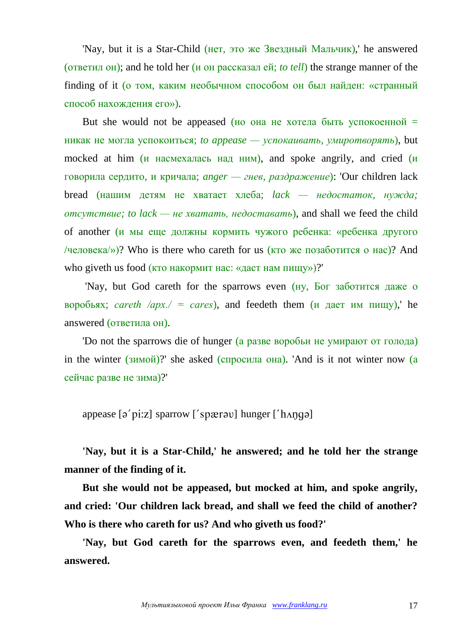'Nay, but it is a Star-Child (нет, это же Звездный Мальчик),' he answered (ответил он); and he told her (и он рассказал ей; *to tell*) the strange manner of the finding of it (о том, каким необычном способом он был найден: «странный способ нахождения его»).

But she would not be appeased (но она не хотела быть успокоенной  $=$ никак не могла успокоиться; *to appease — успокаивать, умиротворять*), but mocked at him (и насмехалась над ним), and spoke angrily, and cried (и говорила сердито, и кричала; *anger — гнев, раздражение*): 'Our children lack bread (нашим детям не хватает хлеба; *lack — недостаток, нужда; отсутствие; to lack — не хватать, недоставать*), and shall we feed the child of another (и мы еще должны кормить чужого ребенка: «ребенка другого /человека/»)? Who is there who careth for us (кто же позаботится о нас)? And who giveth us food (кто накормит нас: «даст нам пищу»)?

'Nay, but God careth for the sparrows even (ну, Бог заботится даже о воробьях; *careth /арх./ = cares*), and feedeth them (и дает им пищу),' he answered (ответила он).

'Do not the sparrows die of hunger (а разве воробьи не умирают от голода) in the winter (зимой)?' she asked (спросила она). 'And is it not winter now (а сейчас разве не зима)?'

appease  $\lceil 2 \rceil$  sparrow  $\lceil 3 \rceil$  sparrow  $\lceil 3 \rceil$  hunger  $\lceil 3 \rceil$  hanger

**'Nay, but it is a Star-Child,' he answered; and he told her the strange manner of the finding of it.**

**But she would not be appeased, but mocked at him, and spoke angrily, and cried: 'Our children lack bread, and shall we feed the child of another? Who is there who careth for us? And who giveth us food?'**

**'Nay, but God careth for the sparrows even, and feedeth them,' he answered.**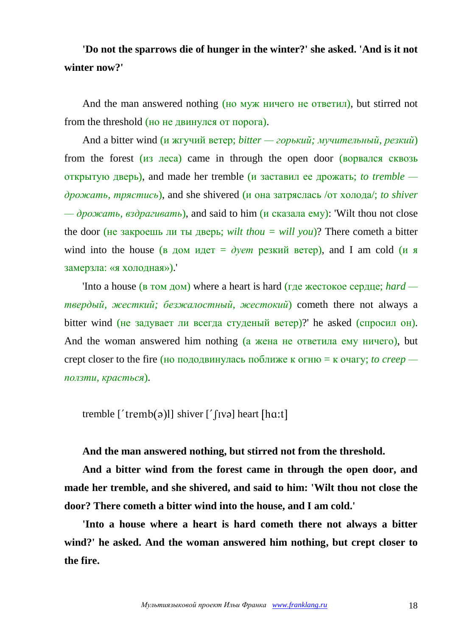## **'Do not the sparrows die of hunger in the winter?' she asked. 'And is it not winter now?'**

And the man answered nothing (но муж ничего не ответил), but stirred not from the threshold (но не двинулся от порога).

And a bitter wind (и жгучий ветер; *bitter — горький; мучительный, резкий*) from the forest (из леса) came in through the open door (ворвался сквозь открытую дверь), and made her tremble (и заставил ее дрожать; *to tremble дрожать, трястись*), and she shivered (и она затряслась /от холода/; *to shiver — дрожать, вздрагивать*), and said to him (и сказала ему): 'Wilt thou not close the door (не закроешь ли ты дверь; *wilt thou = will you*)? There cometh a bitter wind into the house (в дом идет =  $\partial$ *yem* резкий ветер), and I am cold (и я замерзла: «я холодная»).'

'Into a house (в том дом) where a heart is hard (где жестокое сердце; *hard твердый, жесткий; безжалостный, жестокий*) cometh there not always a bitter wind (не задувает ли всегда студеный ветер)?' he asked (спросил он). And the woman answered him nothing (а жена не ответила ему ничего), but crept closer to the fire (но пододвинулась поближе к огню = к очагу; *to creep ползти, красться*).

tremble  $[$ 'tremb $(a)$ l $]$  shiver  $[$ ' $[$ Iv $a]$  heart $[ha:t]$ 

**And the man answered nothing, but stirred not from the threshold.**

**And a bitter wind from the forest came in through the open door, and made her tremble, and she shivered, and said to him: 'Wilt thou not close the door? There cometh a bitter wind into the house, and I am cold.'**

**'Into a house where a heart is hard cometh there not always a bitter wind?' he asked. And the woman answered him nothing, but crept closer to the fire.**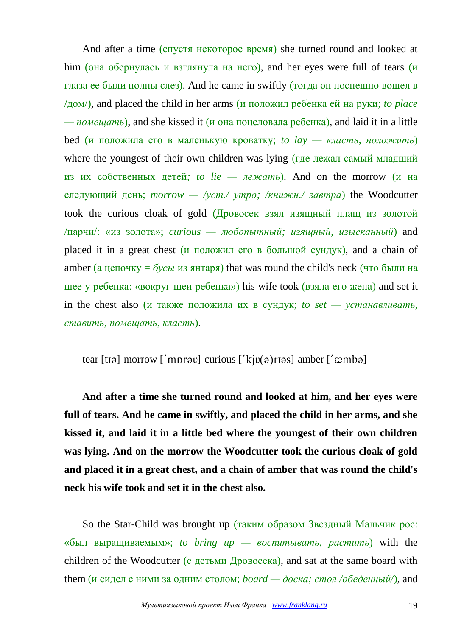And after a time (спустя некоторое время) she turned round and looked at him (она обернулась и взглянула на него), and her eyes were full of tears (и глаза ее были полны слез). And he came in swiftly (тогда он поспешно вошел в /дом/), and placed the child in her arms (и положил ребенка ей на руки; *to place — помещать*), and she kissed it (и она поцеловала ребенка), and laid it in a little bed (и положила его в маленькую кроватку; *to lay — класть, положить*) where the youngest of their own children was lying (где лежал самый младший из их собственных детей*; to lie — лежать*). And on the morrow (и на следующий день; *morrow — /уст./ утро; /книжн./ завтра*) the Woodcutter took the curious cloak of gold (Дровосек взял изящный плащ из золотой /парчи/: «из золота»; *curious — любопытный; изящный, изысканный*) and placed it in a great chest ( $\mu$  положил его в большой сундук), and a chain of amber (а цепочку  $= 6y c_{bl}$  из янтаря) that was round the child's neck (что были на шее у ребенка: «вокруг шеи ребенка») his wife took (взяла его жена) and set it in the chest also (и также положила их в сундук; *to set — устанавливать, ставить, помещать, класть*).

tear [ ] morrow [ ] curious [ ] amber [ ]

**And after a time she turned round and looked at him, and her eyes were full of tears. And he came in swiftly, and placed the child in her arms, and she kissed it, and laid it in a little bed where the youngest of their own children was lying. And on the morrow the Woodcutter took the curious cloak of gold and placed it in a great chest, and a chain of amber that was round the child's neck his wife took and set it in the chest also.**

So the Star-Child was brought up (таким образом Звездный Мальчик рос: «был выращиваемым»; *to bring up — воспитывать, растить*) with the children of the Woodcutter (с детьми Дровосека), and sat at the same board with them (и сидел с ними за одним столом; *board — доска; стол /обеденный/*), and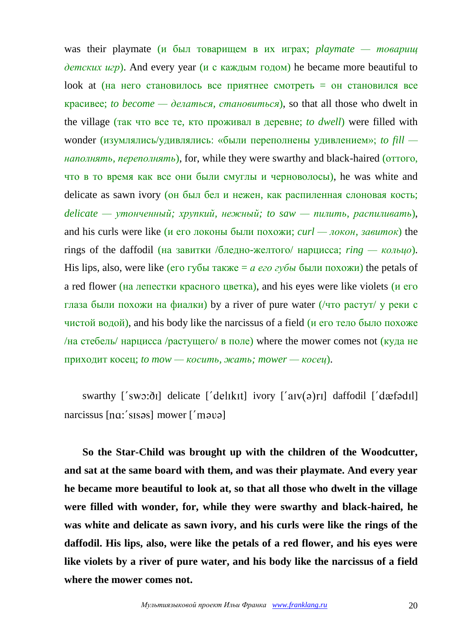was their playmate (и был товарищем в их играх; *playmate — товарищ детских игр*). And every year (*и* с каждым годом) he became more beautiful to look at (на него становилось все приятнее смотреть = он становился все красивее; *to become — делаться, становиться*), so that all those who dwelt in the village (так что все те, кто проживал в деревне; *to dwell*) were filled with wonder (изумлялись/удивлялись: «были переполнены удивлением»; *to fill наполнять, переполнять*), for, while they were swarthy and black-haired (оттого, что в то время как все они были смуглы и черноволосы), he was white and delicate as sawn ivory (он был бел и нежен, как распиленная слоновая кость; *delicate — утонченный; хрупкий, нежный; to saw — пилить, распиливать*), and his curls were like (и его локоны были похожи; *curl — локон, завиток*) the rings of the daffodil (на завитки /бледно-желтого/ нарцисса; *ring — кольцо*). His lips, also, were like (его губы также = *а его губы* были похожи) the petals of a red flower (на лепестки красного цветка), and his eyes were like violets (и его глаза были похожи на фиалки) by a river of pure water (/что растут/ у реки с чистой водой), and his body like the narcissus of a field (и его тело было похоже  $/$ на стебель/ нарцисса  $/$ растущего $/$  в поле) where the mower comes not (куда не приходит косец; *to mow — косить, жать; mower — косец*).

swarthy ['swo: $\delta I$ ] delicate ['delikit] ivory ['aiv(a)ri] daffodil ['dæfadil] narcissus  $[na:$ 'sisəs $]$  mower  $[$ 'məvə $]$ 

**So the Star-Child was brought up with the children of the Woodcutter, and sat at the same board with them, and was their playmate. And every year he became more beautiful to look at, so that all those who dwelt in the village were filled with wonder, for, while they were swarthy and black-haired, he was white and delicate as sawn ivory, and his curls were like the rings of the daffodil. His lips, also, were like the petals of a red flower, and his eyes were like violets by a river of pure water, and his body like the narcissus of a field where the mower comes not.**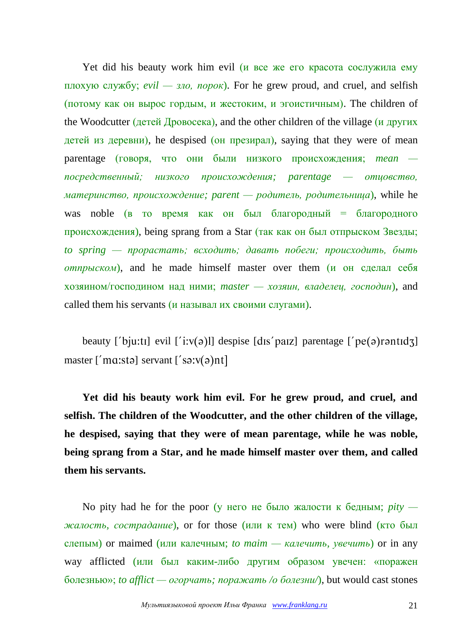Yet did his beauty work him evil (и все же его красота сослужила ему плохую службу; *evil — зло, порок*). For he grew proud, and cruel, and selfish (потому как он вырос гордым, и жестоким, и эгоистичным). The children of the Woodcutter (детей Дровосека), and the other children of the village (и других детей из деревни), he despised (он презирал), saying that they were of mean parentage (говоря, что они были низкого происхождения; *mean посредственный; низкого происхождения; parentage — отцовство, материнство, происхождение; parent — родитель, родительница*), while he was noble (в то время как он был благородный = благородного происхождения), being sprang from a Star (так как он был отпрыском Звезды; *to spring — прорастать; всходить; давать побеги; происходить, быть*   $omnpucxom$ , and he made himself master over them  $(\mu$  on сделал себя хозяином/господином над ними; *master — хозяин, владелец, господин*), and called them his servants (и называл их своими слугами).

beauty ['bju:tɪ] evil  $[i: v(a)]$ ] despise  $[dis' pair]$  parentage  $[i'pe(a)$ rantidz master  $\lceil \text{'}max:1 \rceil$  servant  $\lceil \text{'}s \rceil$  servant  $\lceil \text{'}s \rceil$ 

**Yet did his beauty work him evil. For he grew proud, and cruel, and selfish. The children of the Woodcutter, and the other children of the village, he despised, saying that they were of mean parentage, while he was noble, being sprang from a Star, and he made himself master over them, and called them his servants.**

No pity had he for the poor (у него не было жалости к бедным; *pity жалость, сострадание*), or for those (или к тем) who were blind (кто был слепым) or maimed (или калечным; *to maim — калечить, увечить*) or in any way afflicted (или был каким-либо другим образом увечен: «поражен болезнью»; *to afflict — огорчать; поражать /о болезни/*), but would cast stones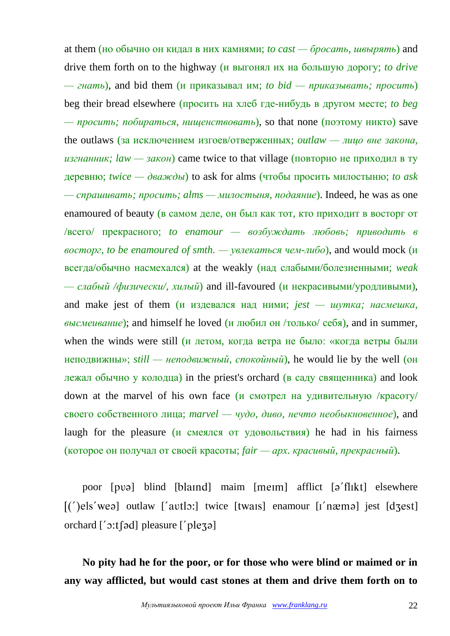at them (но обычно он кидал в них камнями; *to cast — бросать, швырять*) and drive them forth on to the highway (и выгонял их на большую дорогу; *to drive — гнать*), and bid them (и приказывал им; *to bid — приказывать; просить*) beg their bread elsewhere (просить на хлеб где-нибудь в другом месте; *to beg — просить; побираться, нищенствовать*), so that none (поэтому никто) save the outlaws (за исключением изгоев/отверженных; *outlaw — лицо вне закона, изгнанник; law — закон*) came twice to that village (повторно не приходил в ту деревню; *twice — дважды*) to ask for alms (чтобы просить милостыню; *to ask — спрашивать; просить; alms — милостыня, подаяние*). Indeed, he was as one enamoured of beauty (в самом деле, он был как тот, кто приходит в восторг от /всего/ прекрасного; *to enamour — возбуждать любовь; приводить в восторг, to be enamoured of smth. — увлекаться чем-либо*), and would mock (и всегда/обычно насмехался) at the weakly (над слабыми/болезненными; *weak — слабый /физически/, хилый*) and ill-favoured (и некрасивыми/уродливыми), and make jest of them (и издевался над ними; *jest — шутка; насмешка, высмеивание*); and himself he loved (и любил он /только/ себя), and in summer, when the winds were still (и летом, когда ветра не было: «когда ветры были неподвижны»; *still — неподвижный, спокойный*), he would lie by the well (он лежал обычно у колодца) in the priest's orchard (в саду священника) and look down at the marvel of his own face (и смотрел на удивительную /красоту/ своего собственного лица; *marvel — чудо, диво, нечто необыкновенное*), and laugh for the pleasure (и смеялся от удовольствия) he had in his fairness (которое он получал от своей красоты; *fair — арх. красивый, прекрасный*).

poor [pvə] blind [blaind] maim [meim] afflict [ə'flikt] elsewhere  $\left[ \frac{1}{2} \right]$  outlaw  $\left[ \frac{2}{3} \right]$  twice  $\left[ \frac{1}{3} \right]$  enamour  $\left[ \frac{1}{3} \right]$  jest  $\left[ \frac{1}{3} \right]$ orchard  $\lceil 2:1 \rceil$  pleasure  $\lceil 2 \rceil$ 

**No pity had he for the poor, or for those who were blind or maimed or in any way afflicted, but would cast stones at them and drive them forth on to**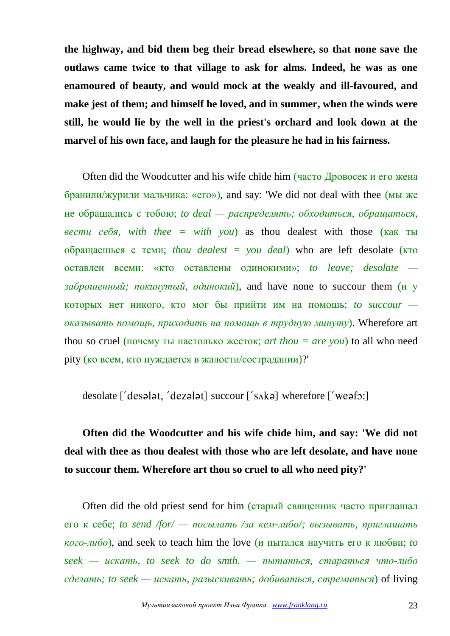**the highway, and bid them beg their bread elsewhere, so that none save the outlaws came twice to that village to ask for alms. Indeed, he was as one enamoured of beauty, and would mock at the weakly and ill-favoured, and make jest of them; and himself he loved, and in summer, when the winds were still, he would lie by the well in the priest's orchard and look down at the marvel of his own face, and laugh for the pleasure he had in his fairness.**

Often did the Woodcutter and his wife chide him (часто Дровосек и его жена бранили/журили мальчика: «его»), and say: 'We did not deal with thee (мы же не обращались с тобою; *to deal — распределять; обходиться, обращаться, вести себя, with thee = with you*) as thou dealest with those (как ты обращаешься с теми; *thou dealest = you deal*) who are left desolate (кто оставлен всеми: «кто оставлены одинокими»; *to leave; desolate заброшенный; покинутый, одинокий*), and have none to succour them (и у которых нет никого, кто мог бы прийти им на помощь; *to succour оказывать помощь, приходить на помощь в трудную минуту*). Wherefore art thou so cruel (почему ты настолько жесток; *art thou = are you*) to all who need pity (ко всем, кто нуждается в жалости/сострадании)?'

desolate ['desələt, 'dezələt] succour ['sAkə] wherefore ['weəfɔ:]

## **Often did the Woodcutter and his wife chide him, and say: 'We did not deal with thee as thou dealest with those who are left desolate, and have none to succour them. Wherefore art thou so cruel to all who need pity?'**

Often did the old priest send for him (старый священник часто приглашал его к себе; *to send /for/ — посылать /за кем-либо/; вызывать, приглашать кого-либо*), and seek to teach him the love (и пытался научить его к любви; *to seek — искать, to seek to do smth. — пытаться, стараться что-либо сделать; to seek — искать, разыскивать; добиваться, стремиться*) of living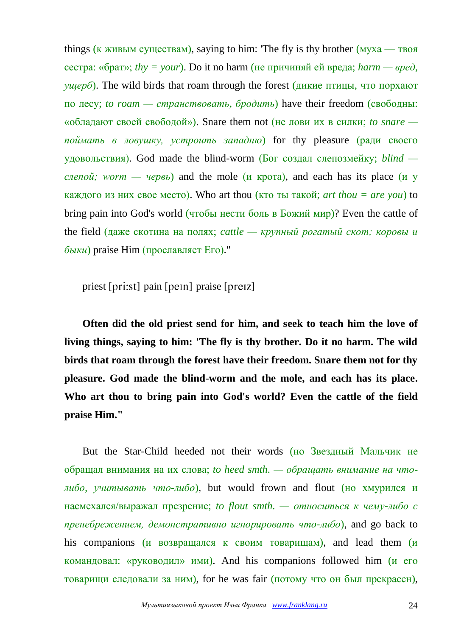things (к живым существам), saying to him: 'The fly is thy brother  $(Myxa - TBox)$ сестра: «брат»; *thy = your*). Do it no harm (не причиняй ей вреда; *harm — вред, ущерб*). The wild birds that roam through the forest (дикие птицы, что порхают по лесу; *to roam — странствовать, бродить*) have their freedom (свободны: «обладают своей свободой»). Snare them not (не лови их в силки; *to snare поймать в ловушку, устроить западню*) for thy pleasure (ради своего удовольствия). God made the blind-worm (Бог создал слепозмейку; *blind —*  $\overline{c}$ *лепой; worm — червь*) and the mole (*и* крота), and each has its place (*и* у каждого из них свое место). Who art thou (кто ты такой; *art thou = are you*) to bring pain into God's world (чтобы нести боль в Божий мир)? Even the cattle of the field (даже скотина на полях; *cattle — крупный рогатый скот; коровы и быки*) praise Him (прославляет Его)."

priest [pri:st] pain [peɪn] praise [preɪz]

**Often did the old priest send for him, and seek to teach him the love of living things, saying to him: 'The fly is thy brother. Do it no harm. The wild birds that roam through the forest have their freedom. Snare them not for thy pleasure. God made the blind-worm and the mole, and each has its place. Who art thou to bring pain into God's world? Even the cattle of the field praise Him."**

But the Star-Child heeded not their words (но Звездный Мальчик не обращал внимания на их слова; *to heed smth. — обращать внимание на чтолибо, учитывать что-либо*), but would frown and flout (но хмурился и насмехался/выражал презрение; *to flout smth. — относиться к чему-либо с пренебрежением, демонстративно игнорировать что-либо*), and go back to his companions (и возвращался к своим товарищам), and lead them (и командовал: «руководил» ими). And his companions followed him (и его товарищи следовали за ним), for he was fair (потому что он был прекрасен),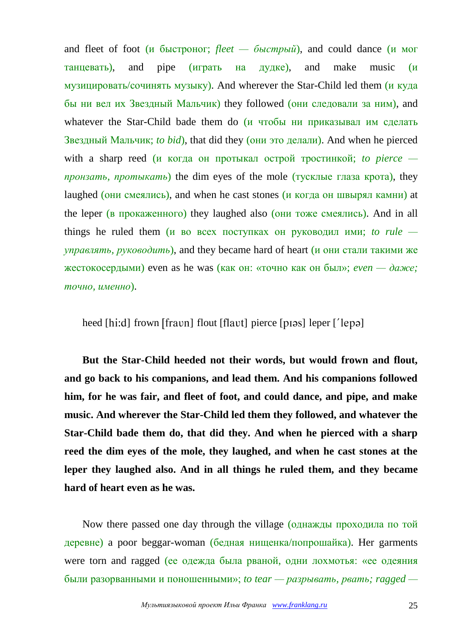and fleet of foot (и быстроног; *fleet — быстрый*), and could dance (и мог танцевать), and pipe (играть на дудке), and make music (и музицировать/сочинять музыку). And wherever the Star-Child led them (и куда бы ни вел их Звездный Мальчик) they followed (они следовали за ним), and whatever the Star-Child bade them do (и чтобы ни приказывал им сделать Звездный Мальчик; *to bid*), that did they (они это делали). And when he pierced with a sharp reed (и когда он протыкал острой тростинкой; *to pierce пронзать, протыкать*) the dim eyes of the mole (тусклые глаза крота), they laughed (они смеялись), and when he cast stones (и когда он швырял камни) at the leper (в прокаженного) they laughed also (они тоже смеялись). And in all things he ruled them (и во всех поступках он руководил ими; *to rule управлять, руководить*), and they became hard of heart (и они стали такими же жестокосердыми) even as he was (как он: «точно как он был»; *even* — даже; *точно, именно*).

heed [hi:d] frown [fravn] flout [flavt] pierce [pɪəs] leper ['lepə]

**But the Star-Child heeded not their words, but would frown and flout, and go back to his companions, and lead them. And his companions followed him, for he was fair, and fleet of foot, and could dance, and pipe, and make music. And wherever the Star-Child led them they followed, and whatever the Star-Child bade them do, that did they. And when he pierced with a sharp reed the dim eyes of the mole, they laughed, and when he cast stones at the leper they laughed also. And in all things he ruled them, and they became hard of heart even as he was.**

Now there passed one day through the village (однажды проходила по той деревне) a poor beggar-woman (бедная нищенка/попрошайка). Her garments were torn and ragged (ее одежда была рваной, одни лохмотья: «ее одеяния были разорванными и поношенными»; *to tear — разрывать, рвать; ragged —*